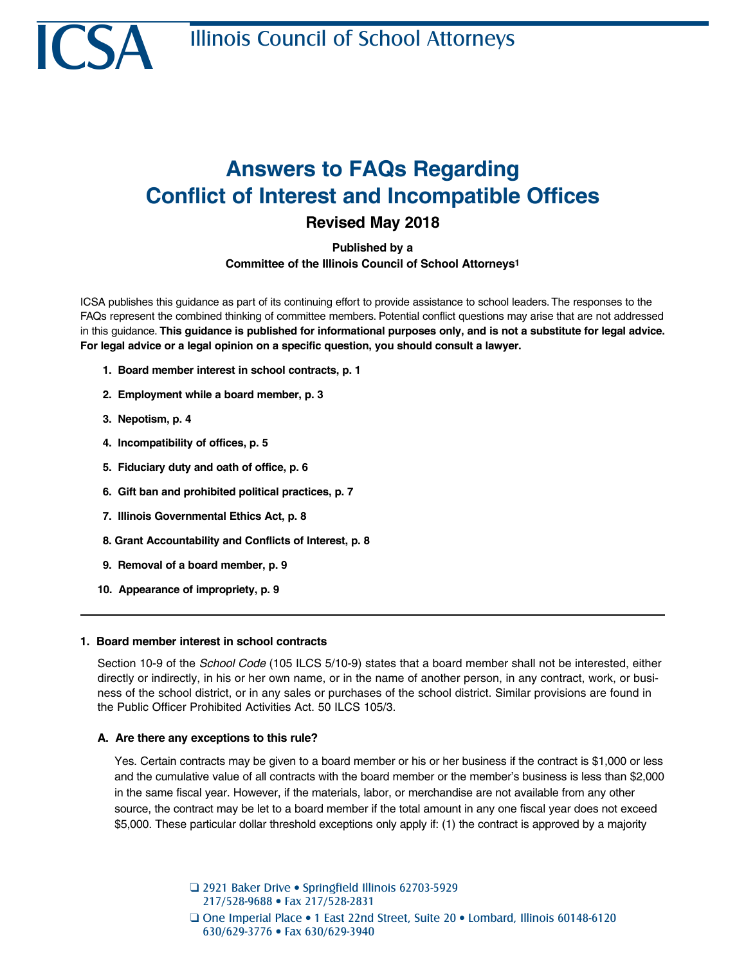

# **Answers to FAQs Regarding Conflict of Interest and Incompatible Offices**

**Revised May 2018**

**Published by a Committee of the Illinois Council of School Attorneys1**

ICSA publishes this guidance as part of its continuing effort to provide assistance to school leaders. The responses to the FAQs represent the combined thinking of committee members. Potential conflict questions may arise that are not addressed in this guidance. **This guidance is published for informational purposes only, and is not a substitute for legal advice. For legal advice or a legal opinion on a specific question, you should consult a lawyer.**

- **1. Board member interest in school contracts, p. 1**
- **2. Employment while a board member, p. 3**
- **3. Nepotism, p. 4**
- **4. Incompatibility of offices, p. 5**
- **5. Fiduciary duty and oath of office, p. 6**
- **6. Gift ban and prohibited political practices, p. 7**
- **7. Illinois Governmental Ethics Act, p. 8**
- **8. Grant Accountability and Conflicts of Interest, p. 8**
- **9. Removal of a board member, p. 9**
- **10. Appearance of impropriety, p. 9**

## **1. Board member interest in school contracts**

Section 10-9 of the *School Code* (105 ILCS 5/10-9) states that a board member shall not be interested, either directly or indirectly, in his or her own name, or in the name of another person, in any contract, work, or business of the school district, or in any sales or purchases of the school district. Similar provisions are found in the Public Officer Prohibited Activities Act. 50 ILCS 105/3.

## **A. Are there any exceptions to this rule?**

Yes. Certain contracts may be given to a board member or his or her business if the contract is \$1,000 or less and the cumulative value of all contracts with the board member or the member's business is less than \$2,000 in the same fiscal year. However, if the materials, labor, or merchandise are not available from any other source, the contract may be let to a board member if the total amount in any one fiscal year does not exceed \$5,000. These particular dollar threshold exceptions only apply if: (1) the contract is approved by a majority

> □ 2921 Baker Drive • Springfield Illinois 62703-5929 217/528-9688 • Fax 217/528-2831 **Q One Imperial Place • 1 East 22nd Street, Suite 20 • Lombard, Illinois 60148-6120** 630/629-3776 • Fax 630/629-3940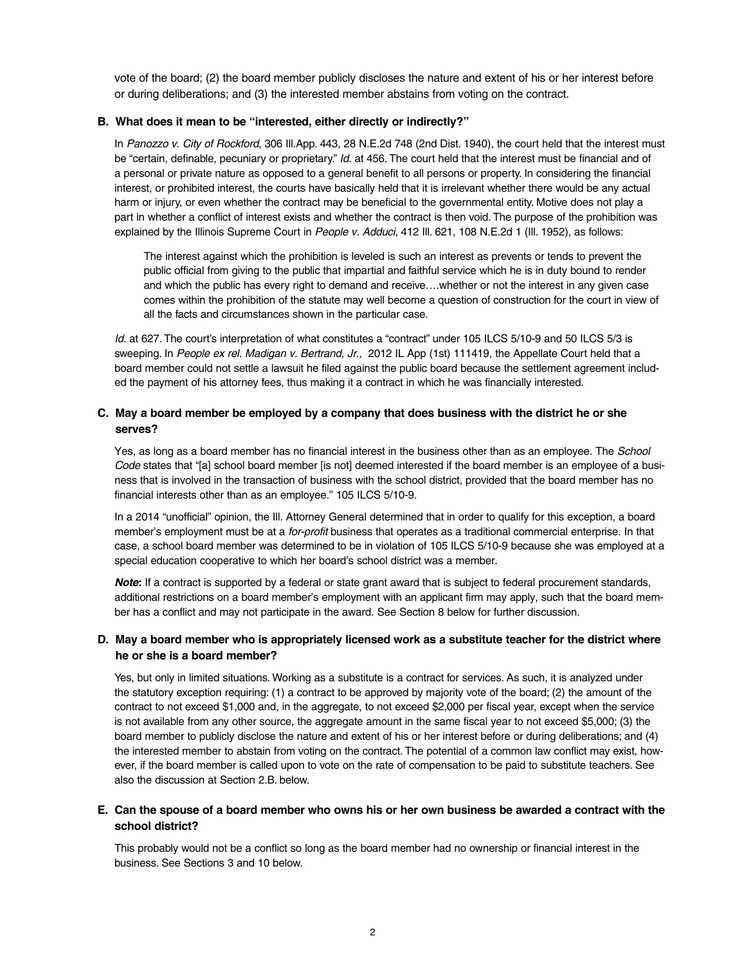vote of the board; (2) the board member publicly discloses the nature and extent of his or her interest before or during deliberations; and (3) the interested member abstains from voting on the contract.

## **B. What does it mean to be "interested, either directly or indirectly?"**

In *Panozzo v. City of Rockford*, 306 Ill.App. 443, 28 N.E.2d 748 (2nd Dist. 1940), the court held that the interest must be "certain, definable, pecuniary or proprietary." *Id.* at 456. The court held that the interest must be financial and of a personal or private nature as opposed to a general benefit to all persons or property. In considering the financial interest, or prohibited interest, the courts have basically held that it is irrelevant whether there would be any actual harm or injury, or even whether the contract may be beneficial to the governmental entity. Motive does not play a part in whether a conflict of interest exists and whether the contract is then void. The purpose of the prohibition was explained by the Illinois Supreme Court in *People v. Adduci*, 412 Ill. 621, 108 N.E.2d 1 (Ill. 1952), as follows:

The interest against which the prohibition is leveled is such an interest as prevents or tends to prevent the public official from giving to the public that impartial and faithful service which he is in duty bound to render and which the public has every right to demand and receive….whether or not the interest in any given case comes within the prohibition of the statute may well become a question of construction for the court in view of all the facts and circumstances shown in the particular case.

*Id.* at 627. The court's interpretation of what constitutes a "contract" under 105 ILCS 5/10-9 and 50 ILCS 5/3 is sweeping. In People ex rel. Madigan v. Bertrand, Jr., 2012 IL App (1st) 111419, the Appellate Court held that a board member could not settle a lawsuit he filed against the public board because the settlement agreement included the payment of his attorney fees, thus making it a contract in which he was financially interested.

# **C. May a board member be employed by a company that does business with the district he or she serves?**

Yes, as long as a board member has no financial interest in the business other than as an employee. The *School Code* states that "[a] school board member [is not] deemed interested if the board member is an employee of a business that is involved in the transaction of business with the school district, provided that the board member has no financial interests other than as an employee." 105 ILCS 5/10-9.

In a 2014 "unofficial" opinion, the Ill. Attorney General determined that in order to qualify for this exception, a board member's employment must be at a *for-profit* business that operates as a traditional commercial enterprise. In that case, a school board member was determined to be in violation of 105 ILCS 5/10-9 because she was employed at a special education cooperative to which her board's school district was a member.

*Note:* If a contract is supported by a federal or state grant award that is subject to federal procurement standards, additional restrictions on a board member's employment with an applicant firm may apply, such that the board member has a conflict and may not participate in the award. See Section 8 below for further discussion.

# **D. May a board member who is appropriately licensed work as a substitute teacher for the district where he or she is a board member?**

Yes, but only in limited situations. Working as a substitute is a contract for services. As such, it is analyzed under the statutory exception requiring: (1) a contract to be approved by majority vote of the board; (2) the amount of the contract to not exceed \$1,000 and, in the aggregate, to not exceed \$2,000 per fiscal year, except when the service is not available from any other source, the aggregate amount in the same fiscal year to not exceed \$5,000; (3) the board member to publicly disclose the nature and extent of his or her interest before or during deliberations; and (4) the interested member to abstain from voting on the contract. The potential of a common law conflict may exist, however, if the board member is called upon to vote on the rate of compensation to be paid to substitute teachers. See also the discussion at Section 2.B. below.

## **E. Can the spouse of a board member who owns his or her own business be awarded a contract with the school district?**

This probably would not be a conflict so long as the board member had no ownership or financial interest in the business. See Sections 3 and 10 below.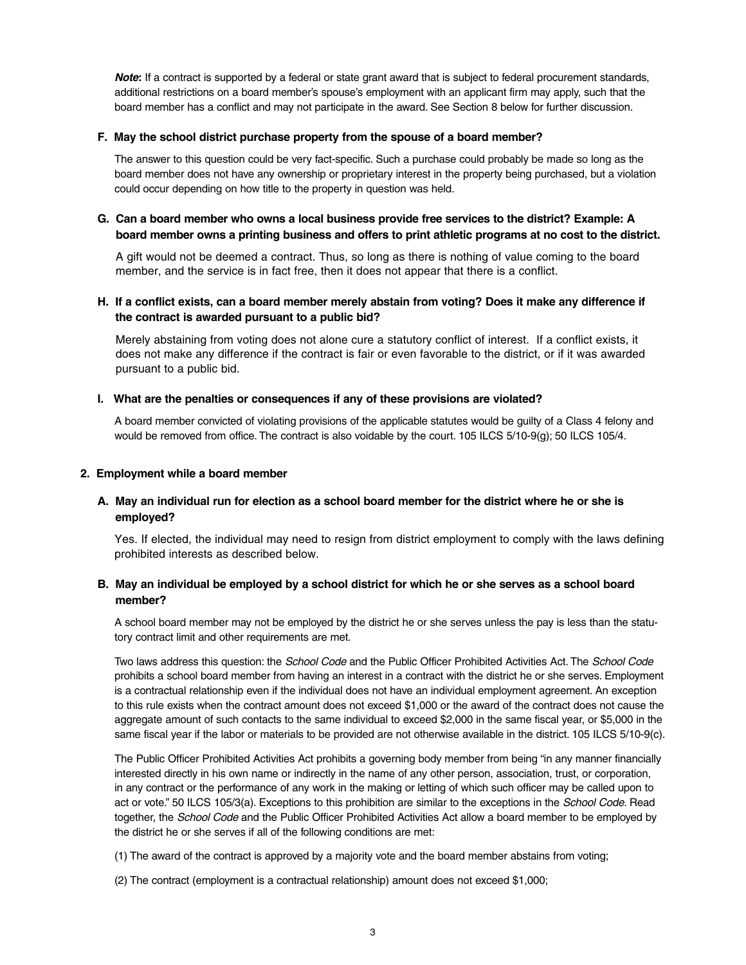*Note:* If a contract is supported by a federal or state grant award that is subject to federal procurement standards, additional restrictions on a board member's spouse's employment with an applicant firm may apply, such that the board member has a conflict and may not participate in the award. See Section 8 below for further discussion.

## **F. May the school district purchase property from the spouse of a board member?**

The answer to this question could be very fact-specific. Such a purchase could probably be made so long as the board member does not have any ownership or proprietary interest in the property being purchased, but a violation could occur depending on how title to the property in question was held.

# **G. Can a board member who owns a local business provide free services to the district? Example: A board member owns a printing business and offers to print athletic programs at no cost to the district.**

A gift would not be deemed a contract. Thus, so long as there is nothing of value coming to the board member, and the service is in fact free, then it does not appear that there is a conflict.

# **H. If a conflict exists, can a board member merely abstain from voting? Does it make any difference if the contract is awarded pursuant to a public bid?**

Merely abstaining from voting does not alone cure a statutory conflict of interest. If a conflict exists, it does not make any difference if the contract is fair or even favorable to the district, or if it was awarded pursuant to a public bid.

## **I. What are the penalties or consequences if any of these provisions are violated?**

A board member convicted of violating provisions of the applicable statutes would be guilty of a Class 4 felony and would be removed from office. The contract is also voidable by the court. 105 ILCS 5/10-9(g); 50 ILCS 105/4.

## **2. Employment while a board member**

# **A. May an individual run for election as a school board member for the district where he or she is employed?**

Yes. If elected, the individual may need to resign from district employment to comply with the laws defining prohibited interests as described below.

## **B. May an individual be employed by a school district for which he or she serves as a school board member?**

A school board member may not be employed by the district he or she serves unless the pay is less than the statutory contract limit and other requirements are met.

Two laws address this question: the *School Code* and the Public Officer Prohibited Activities Act. The *School Code* prohibits a school board member from having an interest in a contract with the district he or she serves. Employment is a contractual relationship even if the individual does not have an individual employment agreement. An exception to this rule exists when the contract amount does not exceed \$1,000 or the award of the contract does not cause the aggregate amount of such contacts to the same individual to exceed \$2,000 in the same fiscal year, or \$5,000 in the same fiscal year if the labor or materials to be provided are not otherwise available in the district. 105 ILCS 5/10-9(c).

The Public Officer Prohibited Activities Act prohibits a governing body member from being "in any manner financially interested directly in his own name or indirectly in the name of any other person, association, trust, or corporation, in any contract or the performance of any work in the making or letting of which such officer may be called upon to act or vote." 50 ILCS 105/3(a). Exceptions to this prohibition are similar to the exceptions in the *School Code*. Read together, the *School Code* and the Public Officer Prohibited Activities Act allow a board member to be employed by the district he or she serves if all of the following conditions are met:

(1) The award of the contract is approved by a majority vote and the board member abstains from voting;

(2) The contract (employment is a contractual relationship) amount does not exceed \$1,000;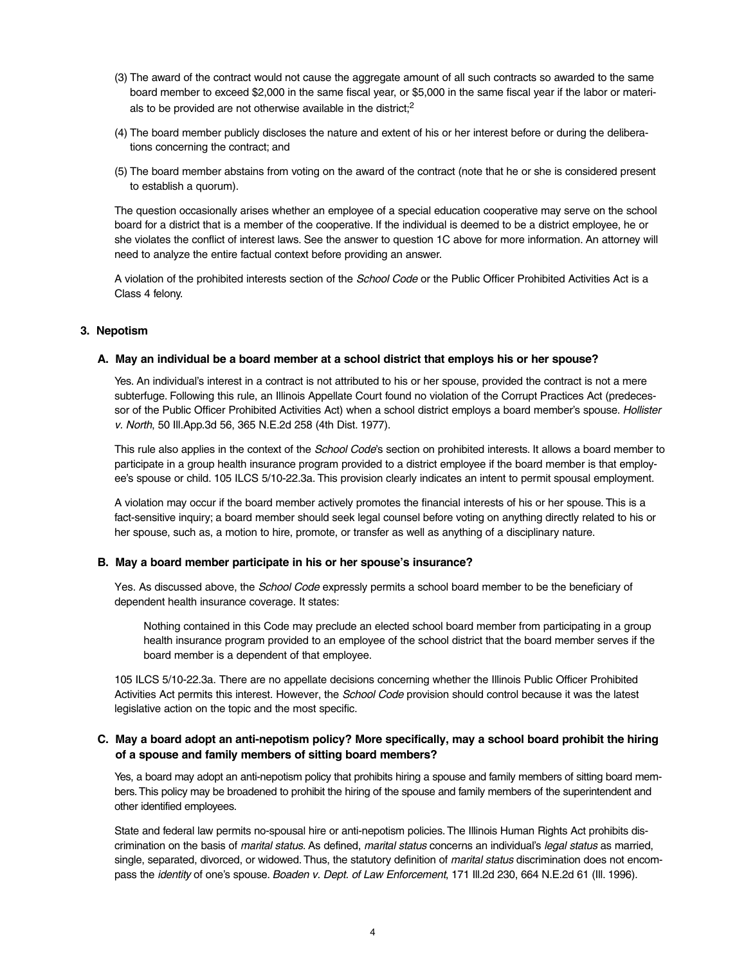- (3) The award of the contract would not cause the aggregate amount of all such contracts so awarded to the same board member to exceed \$2,000 in the same fiscal year, or \$5,000 in the same fiscal year if the labor or materials to be provided are not otherwise available in the district;2
- (4) The board member publicly discloses the nature and extent of his or her interest before or during the deliberations concerning the contract; and
- (5) The board member abstains from voting on the award of the contract (note that he or she is considered present to establish a quorum).

The question occasionally arises whether an employee of a special education cooperative may serve on the school board for a district that is a member of the cooperative. If the individual is deemed to be a district employee, he or she violates the conflict of interest laws. See the answer to question 1C above for more information. An attorney will need to analyze the entire factual context before providing an answer.

A violation of the prohibited interests section of the *School Code* or the Public Officer Prohibited Activities Act is a Class 4 felony.

#### **3. Nepotism**

#### **A. May an individual be a board member at a school district that employs his or her spouse?**

Yes. An individual's interest in a contract is not attributed to his or her spouse, provided the contract is not a mere subterfuge. Following this rule, an Illinois Appellate Court found no violation of the Corrupt Practices Act (predecessor of the Public Officer Prohibited Activities Act) when a school district employs a board member's spouse. *Hollister v. North*, 50 Ill.App.3d 56, 365 N.E.2d 258 (4th Dist. 1977).

This rule also applies in the context of the *School Code*'s section on prohibited interests. It allows a board member to participate in a group health insurance program provided to a district employee if the board member is that employee's spouse or child. 105 ILCS 5/10-22.3a. This provision clearly indicates an intent to permit spousal employment.

A violation may occur if the board member actively promotes the financial interests of his or her spouse. This is a fact-sensitive inquiry; a board member should seek legal counsel before voting on anything directly related to his or her spouse, such as, a motion to hire, promote, or transfer as well as anything of a disciplinary nature.

#### **B. May a board member participate in his or her spouse's insurance?**

Yes. As discussed above, the *School Code* expressly permits a school board member to be the beneficiary of dependent health insurance coverage. It states:

Nothing contained in this Code may preclude an elected school board member from participating in a group health insurance program provided to an employee of the school district that the board member serves if the board member is a dependent of that employee.

105 ILCS 5/10-22.3a. There are no appellate decisions concerning whether the Illinois Public Officer Prohibited Activities Act permits this interest. However, the *School Code* provision should control because it was the latest legislative action on the topic and the most specific.

# **C. May a board adopt an anti-nepotism policy? More specifically, may a school board prohibit the hiring of a spouse and family members of sitting board members?**

Yes, a board may adopt an anti-nepotism policy that prohibits hiring a spouse and family members of sitting board members. This policy may be broadened to prohibit the hiring of the spouse and family members of the superintendent and other identified employees.

State and federal law permits no-spousal hire or anti-nepotism policies. The Illinois Human Rights Act prohibits discrimination on the basis of *marital status*. As defined, *marital status* concerns an individual's *legal status* as married, single, separated, divorced, or widowed. Thus, the statutory definition of *marital status* discrimination does not encompass the *identity* of one's spouse. *Boaden v. Dept. of Law Enforcement*, 171 Ill.2d 230, 664 N.E.2d 61 (Ill. 1996).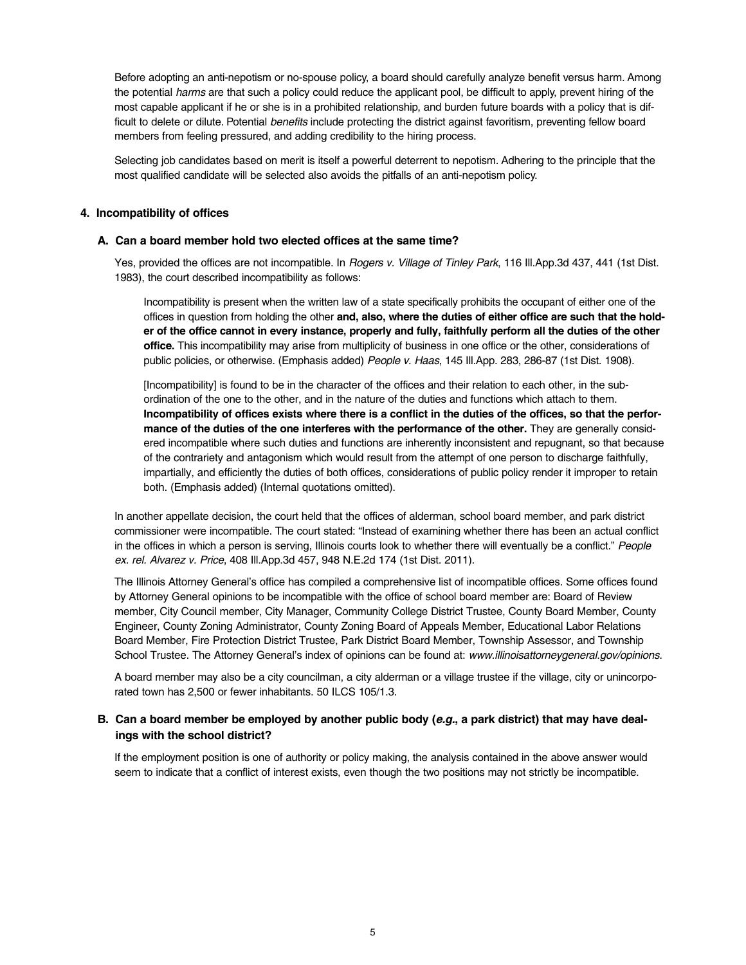Before adopting an anti-nepotism or no-spouse policy, a board should carefully analyze benefit versus harm. Among the potential *harms* are that such a policy could reduce the applicant pool, be difficult to apply, prevent hiring of the most capable applicant if he or she is in a prohibited relationship, and burden future boards with a policy that is difficult to delete or dilute. Potential *benefits* include protecting the district against favoritism, preventing fellow board members from feeling pressured, and adding credibility to the hiring process.

Selecting job candidates based on merit is itself a powerful deterrent to nepotism. Adhering to the principle that the most qualified candidate will be selected also avoids the pitfalls of an anti-nepotism policy.

## **4. Incompatibility of offices**

### **A. Can a board member hold two elected offices at the same time?**

Yes, provided the offices are not incompatible. In *Rogers v. Village of Tinley Park*, 116 Ill.App.3d 437, 441 (1st Dist. 1983), the court described incompatibility as follows:

Incompatibility is present when the written law of a state specifically prohibits the occupant of either one of the offices in question from holding the other **and, also, where the duties of either office are such that the holder of the office cannot in every instance, properly and fully, faithfully perform all the duties of the other office.** This incompatibility may arise from multiplicity of business in one office or the other, considerations of public policies, or otherwise. (Emphasis added) *People v. Haas*, 145 Ill.App. 283, 286-87 (1st Dist. 1908).

[Incompatibility] is found to be in the character of the offices and their relation to each other, in the subordination of the one to the other, and in the nature of the duties and functions which attach to them. **Incompatibility of offices exists where there is a conflict in the duties of the offices, so that the performance of the duties of the one interferes with the performance of the other.** They are generally considered incompatible where such duties and functions are inherently inconsistent and repugnant, so that because of the contrariety and antagonism which would result from the attempt of one person to discharge faithfully, impartially, and efficiently the duties of both offices, considerations of public policy render it improper to retain both. (Emphasis added) (Internal quotations omitted).

In another appellate decision, the court held that the offices of alderman, school board member, and park district commissioner were incompatible. The court stated: "Instead of examining whether there has been an actual conflict in the offices in which a person is serving, Illinois courts look to whether there will eventually be a conflict." *People ex. rel. Alvarez v. Price*, 408 Ill.App.3d 457, 948 N.E.2d 174 (1st Dist. 2011).

The Illinois Attorney General's office has compiled a comprehensive list of incompatible offices. Some offices found by Attorney General opinions to be incompatible with the office of school board member are: Board of Review member, City Council member, City Manager, Community College District Trustee, County Board Member, County Engineer, County Zoning Administrator, County Zoning Board of Appeals Member, Educational Labor Relations Board Member, Fire Protection District Trustee, Park District Board Member, Township Assessor, and Township School Trustee. The Attorney General's index of opinions can be found at: *www.illinoisattorneygeneral.gov/opinions*.

A board member may also be a city councilman, a city alderman or a village trustee if the village, city or unincorporated town has 2,500 or fewer inhabitants. 50 ILCS 105/1.3.

## **B. Can a board member be employed by another public body (***e.g.***, a park district) that may have dealings with the school district?**

If the employment position is one of authority or policy making, the analysis contained in the above answer would seem to indicate that a conflict of interest exists, even though the two positions may not strictly be incompatible.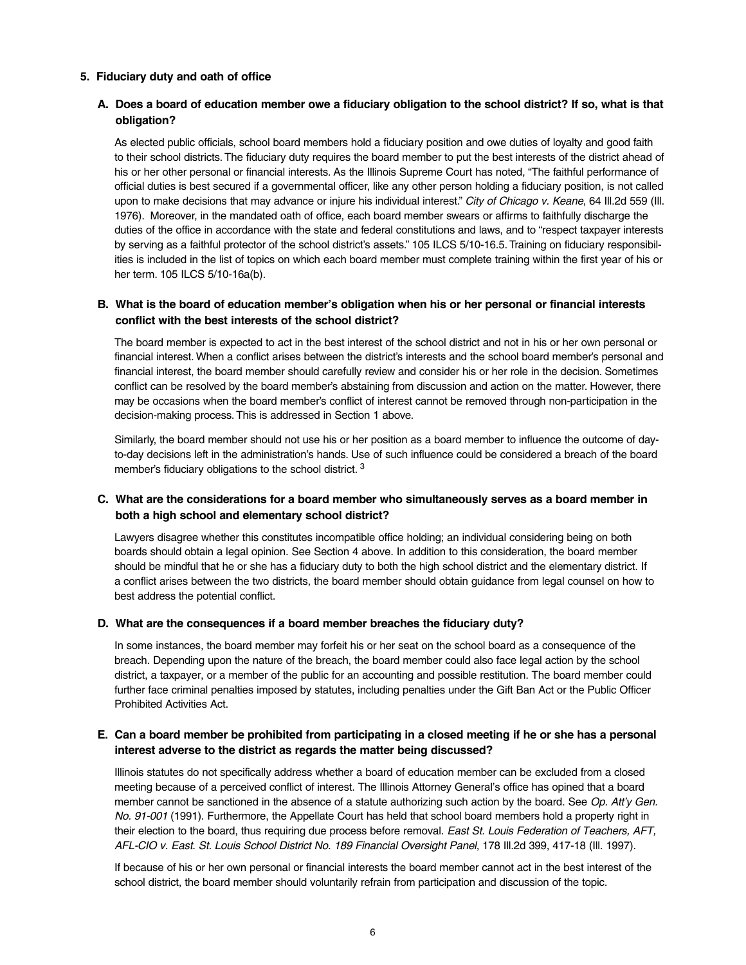## **5. Fiduciary duty and oath of office**

# **A. Does a board of education member owe a fiduciary obligation to the school district? If so, what is that obligation?**

As elected public officials, school board members hold a fiduciary position and owe duties of loyalty and good faith to their school districts. The fiduciary duty requires the board member to put the best interests of the district ahead of his or her other personal or financial interests. As the Illinois Supreme Court has noted, "The faithful performance of official duties is best secured if a governmental officer, like any other person holding a fiduciary position, is not called upon to make decisions that may advance or injure his individual interest." *City of Chicago v. Keane*, 64 Ill.2d 559 (Ill. 1976). Moreover, in the mandated oath of office, each board member swears or affirms to faithfully discharge the duties of the office in accordance with the state and federal constitutions and laws, and to "respect taxpayer interests by serving as a faithful protector of the school district's assets." 105 ILCS 5/10-16.5. Training on fiduciary responsibilities is included in the list of topics on which each board member must complete training within the first year of his or her term. 105 ILCS 5/10-16a(b).

# **B. What is the board of education member's obligation when his or her personal or financial interests conflict with the best interests of the school district?**

The board member is expected to act in the best interest of the school district and not in his or her own personal or financial interest. When a conflict arises between the district's interests and the school board member's personal and financial interest, the board member should carefully review and consider his or her role in the decision. Sometimes conflict can be resolved by the board member's abstaining from discussion and action on the matter. However, there may be occasions when the board member's conflict of interest cannot be removed through non-participation in the decision-making process. This is addressed in Section 1 above.

Similarly, the board member should not use his or her position as a board member to influence the outcome of dayto-day decisions left in the administration's hands. Use of such influence could be considered a breach of the board member's fiduciary obligations to the school district.<sup>3</sup>

# **C. What are the considerations for a board member who simultaneously serves as a board member in both a high school and elementary school district?**

Lawyers disagree whether this constitutes incompatible office holding; an individual considering being on both boards should obtain a legal opinion. See Section 4 above. In addition to this consideration, the board member should be mindful that he or she has a fiduciary duty to both the high school district and the elementary district. If a conflict arises between the two districts, the board member should obtain guidance from legal counsel on how to best address the potential conflict.

## **D. What are the consequences if a board member breaches the fiduciary duty?**

In some instances, the board member may forfeit his or her seat on the school board as a consequence of the breach. Depending upon the nature of the breach, the board member could also face legal action by the school district, a taxpayer, or a member of the public for an accounting and possible restitution. The board member could further face criminal penalties imposed by statutes, including penalties under the Gift Ban Act or the Public Officer Prohibited Activities Act.

# **E. Can a board member be prohibited from participating in a closed meeting if he or she has a personal interest adverse to the district as regards the matter being discussed?**

Illinois statutes do not specifically address whether a board of education member can be excluded from a closed meeting because of a perceived conflict of interest. The Illinois Attorney General's office has opined that a board member cannot be sanctioned in the absence of a statute authorizing such action by the board. See *Op. Att'y Gen. No. 91-001* (1991). Furthermore, the Appellate Court has held that school board members hold a property right in their election to the board, thus requiring due process before removal. *East St. Louis Federation of Teachers, AFT, AFL-CIO v. East. St. Louis School District No. 189 Financial Oversight Panel*, 178 Ill.2d 399, 417-18 (Ill. 1997).

If because of his or her own personal or financial interests the board member cannot act in the best interest of the school district, the board member should voluntarily refrain from participation and discussion of the topic.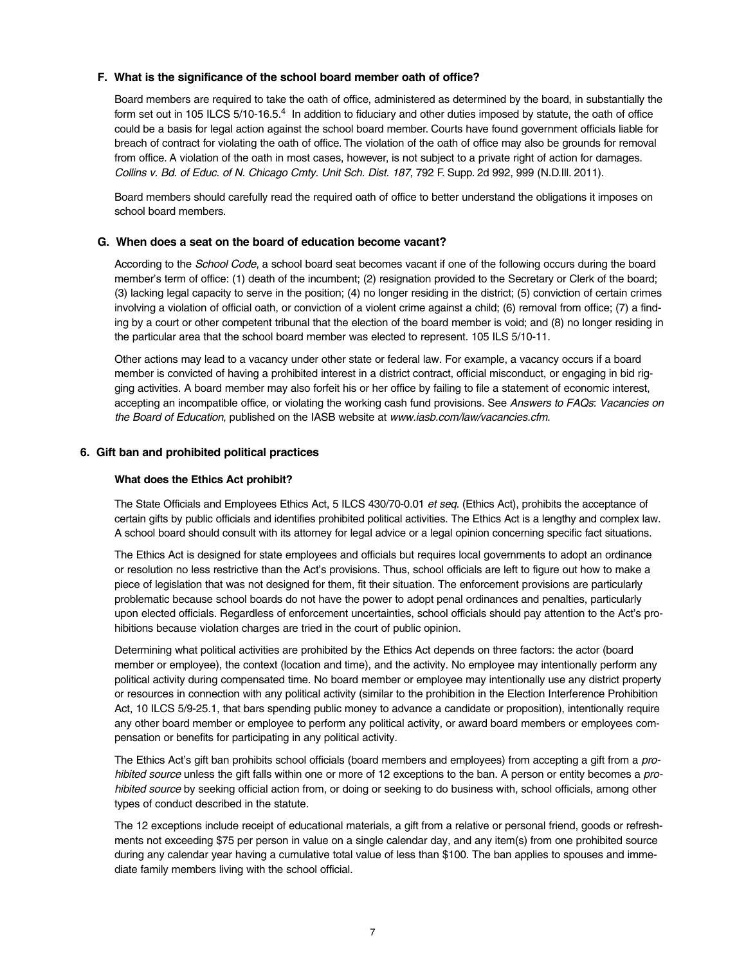## **F. What is the significance of the school board member oath of office?**

Board members are required to take the oath of office, administered as determined by the board, in substantially the form set out in 105 ILCS 5/10-16.5.<sup>4</sup> In addition to fiduciary and other duties imposed by statute, the oath of office could be a basis for legal action against the school board member. Courts have found government officials liable for breach of contract for violating the oath of office. The violation of the oath of office may also be grounds for removal from office. A violation of the oath in most cases, however, is not subject to a private right of action for damages. *Collins v. Bd. of Educ. of N. Chicago Cmty. Unit Sch. Dist. 187*, 792 F. Supp. 2d 992, 999 (N.D.Ill. 2011).

Board members should carefully read the required oath of office to better understand the obligations it imposes on school board members.

## **G. When does a seat on the board of education become vacant?**

According to the *School Code*, a school board seat becomes vacant if one of the following occurs during the board member's term of office: (1) death of the incumbent; (2) resignation provided to the Secretary or Clerk of the board; (3) lacking legal capacity to serve in the position; (4) no longer residing in the district; (5) conviction of certain crimes involving a violation of official oath, or conviction of a violent crime against a child; (6) removal from office; (7) a finding by a court or other competent tribunal that the election of the board member is void; and (8) no longer residing in the particular area that the school board member was elected to represent. 105 ILS 5/10-11.

Other actions may lead to a vacancy under other state or federal law. For example, a vacancy occurs if a board member is convicted of having a prohibited interest in a district contract, official misconduct, or engaging in bid rigging activities. A board member may also forfeit his or her office by failing to file a statement of economic interest, accepting an incompatible office, or violating the working cash fund provisions. See *Answers to FAQs: Vacancies on the Board of Education*, published on the IASB website at *www.iasb.com/law/vacancies.cfm*.

## **6. Gift ban and prohibited political practices**

#### **What does the Ethics Act prohibit?**

The State Officials and Employees Ethics Act, 5 ILCS 430/70-0.01 *et seq*. (Ethics Act), prohibits the acceptance of certain gifts by public officials and identifies prohibited political activities. The Ethics Act is a lengthy and complex law. A school board should consult with its attorney for legal advice or a legal opinion concerning specific fact situations.

The Ethics Act is designed for state employees and officials but requires local governments to adopt an ordinance or resolution no less restrictive than the Act's provisions. Thus, school officials are left to figure out how to make a piece of legislation that was not designed for them, fit their situation. The enforcement provisions are particularly problematic because school boards do not have the power to adopt penal ordinances and penalties, particularly upon elected officials. Regardless of enforcement uncertainties, school officials should pay attention to the Act's prohibitions because violation charges are tried in the court of public opinion.

Determining what political activities are prohibited by the Ethics Act depends on three factors: the actor (board member or employee), the context (location and time), and the activity. No employee may intentionally perform any political activity during compensated time. No board member or employee may intentionally use any district property or resources in connection with any political activity (similar to the prohibition in the Election Interference Prohibition Act, 10 ILCS 5/9-25.1, that bars spending public money to advance a candidate or proposition), intentionally require any other board member or employee to perform any political activity, or award board members or employees compensation or benefits for participating in any political activity.

The Ethics Act's gift ban prohibits school officials (board members and employees) from accepting a gift from a *prohibited source* unless the gift falls within one or more of 12 exceptions to the ban. A person or entity becomes a *prohibited source* by seeking official action from, or doing or seeking to do business with, school officials, among other types of conduct described in the statute.

The 12 exceptions include receipt of educational materials, a gift from a relative or personal friend, goods or refreshments not exceeding \$75 per person in value on a single calendar day, and any item(s) from one prohibited source during any calendar year having a cumulative total value of less than \$100. The ban applies to spouses and immediate family members living with the school official.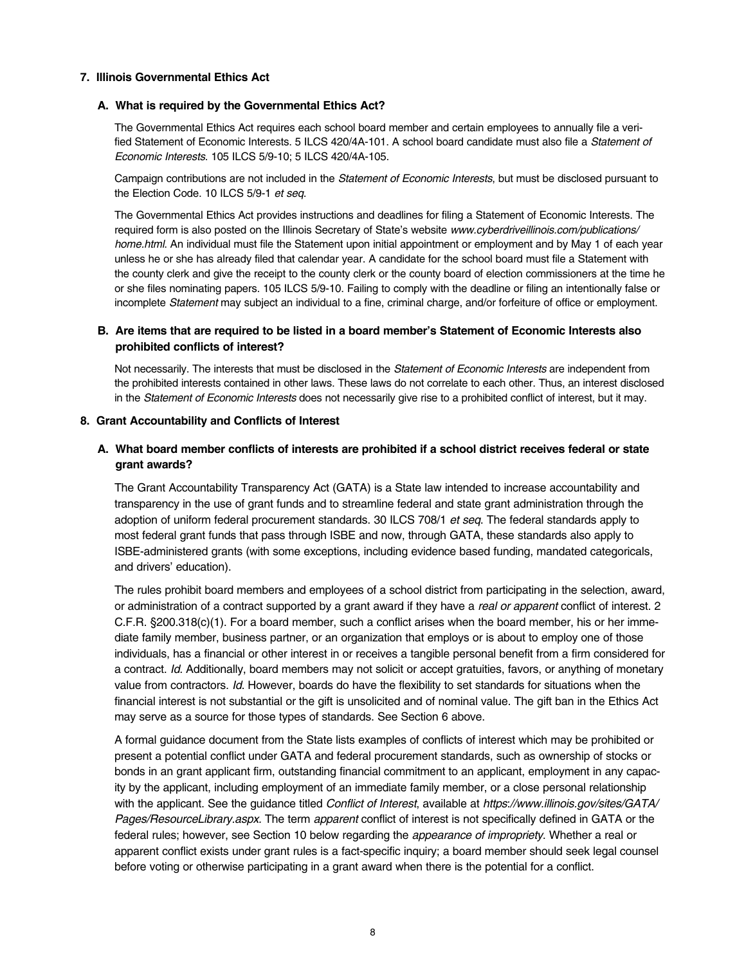## **7. Illinois Governmental Ethics Act**

## **A. What is required by the Governmental Ethics Act?**

The Governmental Ethics Act requires each school board member and certain employees to annually file a verified Statement of Economic Interests. 5 ILCS 420/4A-101. A school board candidate must also file a *Statement of Economic Interests*. 105 ILCS 5/9-10; 5 ILCS 420/4A-105.

Campaign contributions are not included in the *Statement of Economic Interests*, but must be disclosed pursuant to the Election Code. 10 ILCS 5/9-1 *et seq*.

The Governmental Ethics Act provides instructions and deadlines for filing a Statement of Economic Interests. The required form is also posted on the Illinois Secretary of State's website *www.cyberdriveillinois.com/publications/ home.html*. An individual must file the Statement upon initial appointment or employment and by May 1 of each year unless he or she has already filed that calendar year. A candidate for the school board must file a Statement with the county clerk and give the receipt to the county clerk or the county board of election commissioners at the time he or she files nominating papers. 105 ILCS 5/9-10. Failing to comply with the deadline or filing an intentionally false or incomplete *Statement* may subject an individual to a fine, criminal charge, and/or forfeiture of office or employment.

# **B. Are items that are required to be listed in a board member's Statement of Economic Interests also prohibited conflicts of interest?**

Not necessarily. The interests that must be disclosed in the *Statement of Economic Interests* are independent from the prohibited interests contained in other laws. These laws do not correlate to each other. Thus, an interest disclosed in the *Statement of Economic Interests* does not necessarily give rise to a prohibited conflict of interest, but it may.

## **8. Grant Accountability and Conflicts of Interest**

# **A. What board member conflicts of interests are prohibited if a school district receives federal or state grant awards?**

The Grant Accountability Transparency Act (GATA) is a State law intended to increase accountability and transparency in the use of grant funds and to streamline federal and state grant administration through the adoption of uniform federal procurement standards. 30 ILCS 708/1 *et seq*. The federal standards apply to most federal grant funds that pass through ISBE and now, through GATA, these standards also apply to ISBE-administered grants (with some exceptions, including evidence based funding, mandated categoricals, and drivers' education).

The rules prohibit board members and employees of a school district from participating in the selection, award, or administration of a contract supported by a grant award if they have a *real or apparent* conflict of interest. 2 C.F.R. §200.318(c)(1). For a board member, such a conflict arises when the board member, his or her immediate family member, business partner, or an organization that employs or is about to employ one of those individuals, has a financial or other interest in or receives a tangible personal benefit from a firm considered for a contract. *Id*. Additionally, board members may not solicit or accept gratuities, favors, or anything of monetary value from contractors. *Id*. However, boards do have the flexibility to set standards for situations when the financial interest is not substantial or the gift is unsolicited and of nominal value. The gift ban in the Ethics Act may serve as a source for those types of standards. See Section 6 above.

A formal guidance document from the State lists examples of conflicts of interest which may be prohibited or present a potential conflict under GATA and federal procurement standards, such as ownership of stocks or bonds in an grant applicant firm, outstanding financial commitment to an applicant, employment in any capacity by the applicant, including employment of an immediate family member, or a close personal relationship with the applicant. See the guidance titled *Conflict of Interest*, available at *https://www.illinois.gov/sites/GATA/ Pages/ResourceLibrary.aspx.* The term *apparent* conflict of interest is not specifically defined in GATA or the federal rules; however, see Section 10 below regarding the *appearance of impropriety*. Whether a real or apparent conflict exists under grant rules is a fact-specific inquiry; a board member should seek legal counsel before voting or otherwise participating in a grant award when there is the potential for a conflict.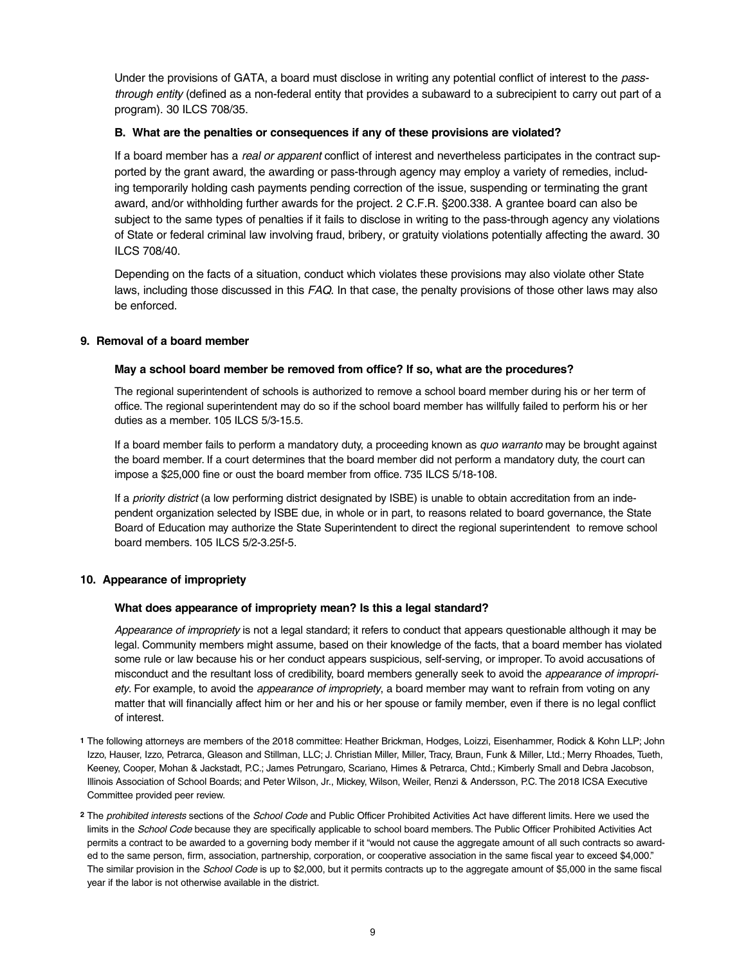Under the provisions of GATA, a board must disclose in writing any potential conflict of interest to the *passthrough entity* (defined as a non-federal entity that provides a subaward to a subrecipient to carry out part of a program). 30 ILCS 708/35.

# **B. What are the penalties or consequences if any of these provisions are violated?**

If a board member has a *real or apparent* conflict of interest and nevertheless participates in the contract supported by the grant award, the awarding or pass-through agency may employ a variety of remedies, including temporarily holding cash payments pending correction of the issue, suspending or terminating the grant award, and/or withholding further awards for the project. 2 C.F.R. §200.338. A grantee board can also be subject to the same types of penalties if it fails to disclose in writing to the pass-through agency any violations of State or federal criminal law involving fraud, bribery, or gratuity violations potentially affecting the award. 30 ILCS 708/40.

Depending on the facts of a situation, conduct which violates these provisions may also violate other State laws, including those discussed in this *FAQ*. In that case, the penalty provisions of those other laws may also be enforced.

## **9. Removal of a board member**

## **May a school board member be removed from office? If so, what are the procedures?**

The regional superintendent of schools is authorized to remove a school board member during his or her term of office. The regional superintendent may do so if the school board member has willfully failed to perform his or her duties as a member. 105 ILCS 5/3-15.5.

If a board member fails to perform a mandatory duty, a proceeding known as *quo warranto* may be brought against the board member. If a court determines that the board member did not perform a mandatory duty, the court can impose a \$25,000 fine or oust the board member from office. 735 ILCS 5/18-108.

If a *priority district* (a low performing district designated by ISBE) is unable to obtain accreditation from an independent organization selected by ISBE due, in whole or in part, to reasons related to board governance, the State Board of Education may authorize the State Superintendent to direct the regional superintendent to remove school board members. 105 ILCS 5/2-3.25f-5.

# **10. Appearance of impropriety**

## **What does appearance of impropriety mean? Is this a legal standard?**

*Appearance of impropriety* is not a legal standard; it refers to conduct that appears questionable although it may be legal. Community members might assume, based on their knowledge of the facts, that a board member has violated some rule or law because his or her conduct appears suspicious, self-serving, or improper. To avoid accusations of misconduct and the resultant loss of credibility, board members generally seek to avoid the *appearance of impropriety*. For example, to avoid the *appearance of impropriety*, a board member may want to refrain from voting on any matter that will financially affect him or her and his or her spouse or family member, even if there is no legal conflict of interest.

- **1** The following attorneys are members of the 2018 committee: Heather Brickman, Hodges, Loizzi, Eisenhammer, Rodick & Kohn LLP; John Izzo, Hauser, Izzo, Petrarca, Gleason and Stillman, LLC; J. Christian Miller, Miller, Tracy, Braun, Funk & Miller, Ltd.; Merry Rhoades, Tueth, Keeney, Cooper, Mohan & Jackstadt, P.C.; James Petrungaro, Scariano, Himes & Petrarca, Chtd.; Kimberly Small and Debra Jacobson, Illinois Association of School Boards; and Peter Wilson, Jr., Mickey, Wilson, Weiler, Renzi & Andersson, P.C. The 2018 ICSA Executive Committee provided peer review.
- **2** The *prohibited interests* sections of the *School Code* and Public Officer Prohibited Activities Act have different limits. Here we used the limits in the *School Code* because they are specifically applicable to school board members. The Public Officer Prohibited Activities Act permits a contract to be awarded to a governing body member if it "would not cause the aggregate amount of all such contracts so awarded to the same person, firm, association, partnership, corporation, or cooperative association in the same fiscal year to exceed \$4,000." The similar provision in the *School Code* is up to \$2,000, but it permits contracts up to the aggregate amount of \$5,000 in the same fiscal year if the labor is not otherwise available in the district.